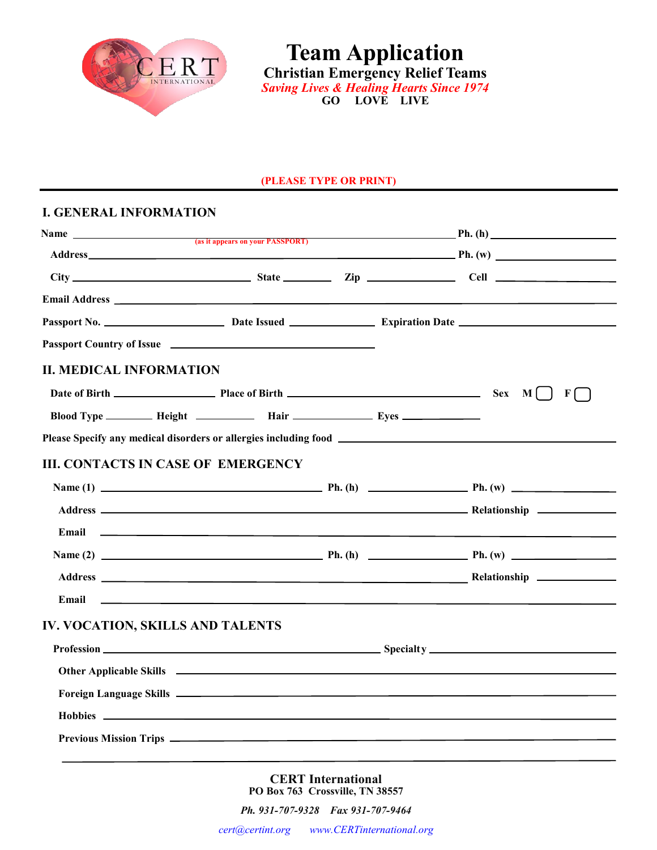

**Team Application Christian Emergency Relief Teams**  *Saving Lives & Healing Hearts Since 1974* **GO LOVE LIVE**

#### **(PLEASE TYPE OR PRINT)**

# **I. GENERAL INFORMATION**

| Passport Country of Issue <b>contract of Issue Country of Issue Country of Issue</b><br><b>II. MEDICAL INFORMATION</b><br>Date of Birth $\qquad \qquad$ Place of Birth $\qquad \qquad$ Place of Birth $\qquad \qquad$ Sex M<br>Blood Type ___________ Height _______________ Hair ___________________ Eyes _______________________<br><b>III. CONTACTS IN CASE OF EMERGENCY</b><br>Email<br><u>state and the state of the state of the state of the state of the state of the state of the state of the state of the state of the state of the state of the state of the state of the state of the state of the state of the</u><br>IV. VOCATION, SKILLS AND TALENTS |  |  |
|----------------------------------------------------------------------------------------------------------------------------------------------------------------------------------------------------------------------------------------------------------------------------------------------------------------------------------------------------------------------------------------------------------------------------------------------------------------------------------------------------------------------------------------------------------------------------------------------------------------------------------------------------------------------|--|--|
|                                                                                                                                                                                                                                                                                                                                                                                                                                                                                                                                                                                                                                                                      |  |  |
|                                                                                                                                                                                                                                                                                                                                                                                                                                                                                                                                                                                                                                                                      |  |  |
|                                                                                                                                                                                                                                                                                                                                                                                                                                                                                                                                                                                                                                                                      |  |  |
|                                                                                                                                                                                                                                                                                                                                                                                                                                                                                                                                                                                                                                                                      |  |  |
|                                                                                                                                                                                                                                                                                                                                                                                                                                                                                                                                                                                                                                                                      |  |  |
|                                                                                                                                                                                                                                                                                                                                                                                                                                                                                                                                                                                                                                                                      |  |  |
|                                                                                                                                                                                                                                                                                                                                                                                                                                                                                                                                                                                                                                                                      |  |  |
|                                                                                                                                                                                                                                                                                                                                                                                                                                                                                                                                                                                                                                                                      |  |  |
|                                                                                                                                                                                                                                                                                                                                                                                                                                                                                                                                                                                                                                                                      |  |  |
|                                                                                                                                                                                                                                                                                                                                                                                                                                                                                                                                                                                                                                                                      |  |  |
|                                                                                                                                                                                                                                                                                                                                                                                                                                                                                                                                                                                                                                                                      |  |  |
|                                                                                                                                                                                                                                                                                                                                                                                                                                                                                                                                                                                                                                                                      |  |  |
|                                                                                                                                                                                                                                                                                                                                                                                                                                                                                                                                                                                                                                                                      |  |  |
|                                                                                                                                                                                                                                                                                                                                                                                                                                                                                                                                                                                                                                                                      |  |  |
|                                                                                                                                                                                                                                                                                                                                                                                                                                                                                                                                                                                                                                                                      |  |  |
|                                                                                                                                                                                                                                                                                                                                                                                                                                                                                                                                                                                                                                                                      |  |  |
|                                                                                                                                                                                                                                                                                                                                                                                                                                                                                                                                                                                                                                                                      |  |  |
|                                                                                                                                                                                                                                                                                                                                                                                                                                                                                                                                                                                                                                                                      |  |  |
|                                                                                                                                                                                                                                                                                                                                                                                                                                                                                                                                                                                                                                                                      |  |  |
|                                                                                                                                                                                                                                                                                                                                                                                                                                                                                                                                                                                                                                                                      |  |  |
|                                                                                                                                                                                                                                                                                                                                                                                                                                                                                                                                                                                                                                                                      |  |  |
|                                                                                                                                                                                                                                                                                                                                                                                                                                                                                                                                                                                                                                                                      |  |  |

**CERT International PO Box 763 Crossville, TN 38557**

*Ph. 931-707-9328 Fax 931-707-9464*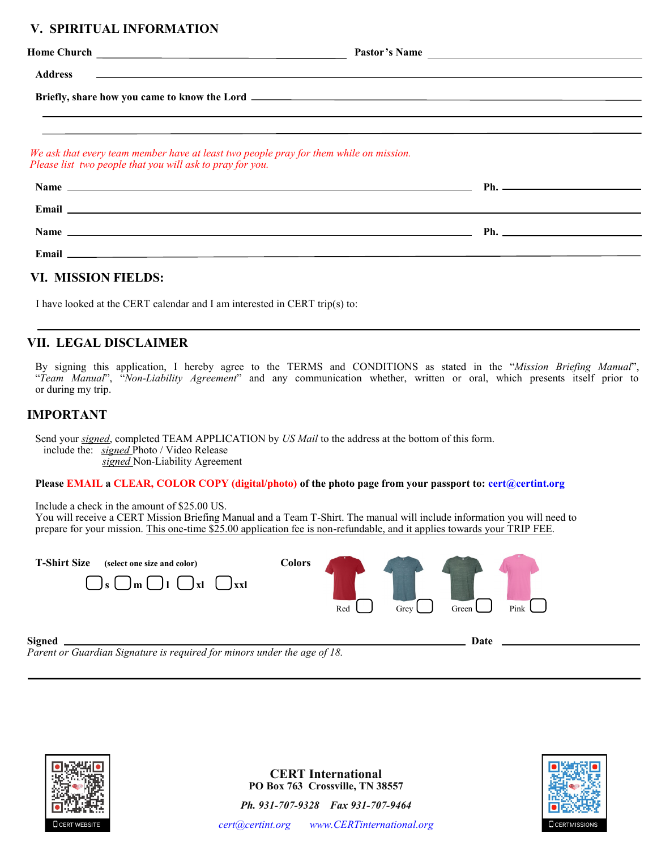# **V. SPIRITUAL INFORMATION**

|                                                           |                                                                                                                                                                                                                                      | Pastor's Name |
|-----------------------------------------------------------|--------------------------------------------------------------------------------------------------------------------------------------------------------------------------------------------------------------------------------------|---------------|
| <b>Address</b>                                            | <u> 1980 - Andrea Andrew Maria (h. 1980).</u><br>1901 - Andrew Maria (h. 1902).                                                                                                                                                      |               |
|                                                           |                                                                                                                                                                                                                                      |               |
|                                                           |                                                                                                                                                                                                                                      |               |
| Please list two people that you will ask to pray for you. | We ask that every team member have at least two people pray for them while on mission.                                                                                                                                               |               |
|                                                           |                                                                                                                                                                                                                                      |               |
|                                                           |                                                                                                                                                                                                                                      |               |
|                                                           | Email <u>the contract of the contract of the contract of the contract of the contract of the contract of the contract of the contract of the contract of the contract of the contract of the contract of the contract of the con</u> |               |
|                                                           | Name $\qquad \qquad$ Ph.                                                                                                                                                                                                             |               |

### **VI. MISSION FIELDS:**

I have looked at the CERT calendar and I am interested in CERT trip(s) to:

### **VII. LEGAL DISCLAIMER**

By signing this application, I hereby agree to the TERMS and CONDITIONS as stated in the "*Mission Briefing Manual*", "*Team Manual*", "*Non-Liability Agreement*" and any communication whether, written or oral, which presents itself prior to or during my trip.

## **IMPORTANT**

Send your *signed*, completed TEAM APPLICATION by *US Mail* to the address at the bottom of this form. include the: *signed* Photo / Video Release *signed* Non-Liability Agreement

#### **Please EMAIL a CLEAR, COLOR COPY (digital/photo) of the photo page from your passport to: [cert@certint.org](mailto:cert@certinternational.org?subject=Document)**

Include a check in the amount of \$25.00 US. You will receive a CERT Mission Briefing Manual and a Team T-Shirt. The manual will include information you will need to prepare for your mission. This one-time \$25.00 application fee is non-refundable, and it applies towards your TRIP FEE.

| <b>T-Shirt Size</b><br>(select one size and color)<br>$\mathbf{v}$<br>$J_{xx}$<br>$\mathsf{Jm} \cup \mathsf{J1}$<br>le l | <b>Colors</b> | Red | Grey | Green L | Pink |
|--------------------------------------------------------------------------------------------------------------------------|---------------|-----|------|---------|------|
| Signed                                                                                                                   |               |     |      | Date    |      |

*Parent or Guardian Signature is required for minors under the age of 18.*





**CERT International PO Box 763 Crossville, TN 38557** *Ph. 931-707-9328 Fax 931-707-9464*

*[cert@certint.org](mailto:cert@certinternational.org?subject=Team%20Application) [www.CERTinternational.org](http://www.CERTinternational.org)*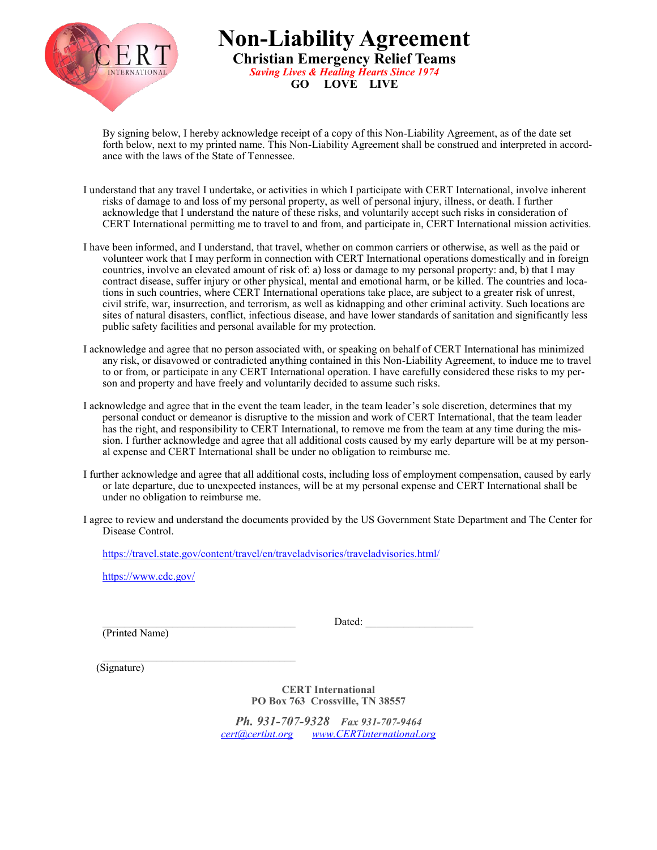

**Non-Liability Agreement Christian Emergency Relief Teams**  *Saving Lives & Healing Hearts Since 1974* **GO LOVE LIVE**

By signing below, I hereby acknowledge receipt of a copy of this Non-Liability Agreement, as of the date set forth below, next to my printed name. This Non-Liability Agreement shall be construed and interpreted in accordance with the laws of the State of Tennessee.

- I understand that any travel I undertake, or activities in which I participate with CERT International, involve inherent risks of damage to and loss of my personal property, as well of personal injury, illness, or death. I further acknowledge that I understand the nature of these risks, and voluntarily accept such risks in consideration of CERT International permitting me to travel to and from, and participate in, CERT International mission activities.
- I have been informed, and I understand, that travel, whether on common carriers or otherwise, as well as the paid or volunteer work that I may perform in connection with CERT International operations domestically and in foreign countries, involve an elevated amount of risk of: a) loss or damage to my personal property: and, b) that I may contract disease, suffer injury or other physical, mental and emotional harm, or be killed. The countries and locations in such countries, where CERT International operations take place, are subject to a greater risk of unrest, civil strife, war, insurrection, and terrorism, as well as kidnapping and other criminal activity. Such locations are sites of natural disasters, conflict, infectious disease, and have lower standards of sanitation and significantly less public safety facilities and personal available for my protection.
- I acknowledge and agree that no person associated with, or speaking on behalf of CERT International has minimized any risk, or disavowed or contradicted anything contained in this Non-Liability Agreement, to induce me to travel to or from, or participate in any CERT International operation. I have carefully considered these risks to my person and property and have freely and voluntarily decided to assume such risks.
- I acknowledge and agree that in the event the team leader, in the team leader's sole discretion, determines that my personal conduct or demeanor is disruptive to the mission and work of CERT International, that the team leader has the right, and responsibility to CERT International, to remove me from the team at any time during the mission. I further acknowledge and agree that all additional costs caused by my early departure will be at my personal expense and CERT International shall be under no obligation to reimburse me.
- I further acknowledge and agree that all additional costs, including loss of employment compensation, caused by early or late departure, due to unexpected instances, will be at my personal expense and CERT International shall be under no obligation to reimburse me.
- I agree to review and understand the documents provided by the US Government State Department and The Center for Disease Control.

<https://travel.state.gov/content/travel/en/traveladvisories/traveladvisories.html/>

<https://www.cdc.gov/>

(Printed Name)

\_\_\_\_\_\_\_\_\_\_\_\_\_\_\_\_\_\_\_\_\_\_\_\_\_\_\_\_\_\_\_\_\_\_\_\_ Dated: \_\_\_\_\_\_\_\_\_\_\_\_\_\_\_\_\_\_\_\_

 $\mathcal{L}_\text{max}$ (Signature)

> **CERT International PO Box 763 Crossville, TN 38557**

*Ph. 931-707-9328 Fax 931-707-9464 [cert@certint.org](mailto:cert@certinternational.org?subject=Team%20Application) [www.CERTinternational.org](http://www.CERTinternational.org)*